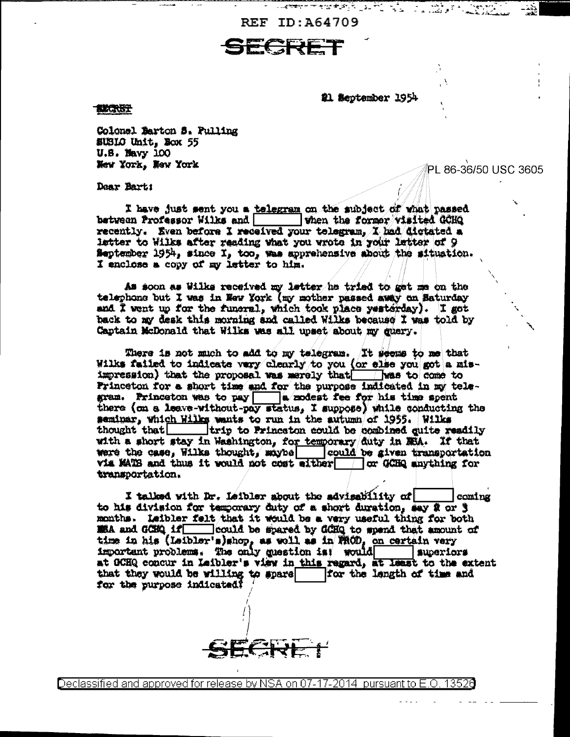REF ID:A64709

#1 September 1954

PL 86-36/50 USC 3605

**EECRIST** 

Colonel Marton S. Pulling SUSLO Unit, Nox 55  $U.8.$  Mavy  $100$ New York, New York

Dear Bart:

I have just sent you a telegram on the subject of what passed between Professor Wilks and When the former visited CCHQ recently. Even before I received your telegram, I had dictated a letter to Wilks after reading what you wrote in your letter of 9 September 1954, since I, too, was apprehensive about the situation. I enclose a copy of my letter to him.

As soon as Wilke received my letter he tried to get me on the telephone but I was in New York (my mother passed away on Baturday and I went up for the funeral, which took place yesterday). I got back to my desk this morning and called Wilks because I was told by Captain McDonald that Wilks was all upset about my guery.

There is not much to add to my telegram. It seems to me that Wilks failed to indicate very clearly to you (or else you got a misimpression) that the proposal was marely that was to come to Frinceton for a short time and for the purpose indicated in my telegram. Princeton was to pay a modest fee for his time spent<br>there (on a leave-without-pay status, I suppose) while conducting the<br>seminar, which Wilks wants to run in the autumn of 1955. Wilks<br>thought that \_\_\_\_\_\_\_\_\_\_\_\_\_\_\_\_\_ with a short stay in Washington, for temporary duty in MEA. If that were the case, Wilks thought, maybe could be given transportation via MATS and thus it would not cost either or GCHQ anything for transportation.

I talked with Dr. Leibler about the advisability of econing to his division for temporary duty of a short duration, say 2 or 3 months. Leibler felt that it would be a very useful thing for both E& and GCEQ if could be spared by GCHQ to spend that amount of time in his (Leibler's)shop, as well as in FROD, on certain very important problems. The only question is! would superiors at OCHQ concur in Leibler's view in this regard, at least to the extent that they would be willing to spare | for the langth of time and for the purpose indicated?



Declassified and approved for release by NSA on 07-17-2014 pursuant to E.O. 13526